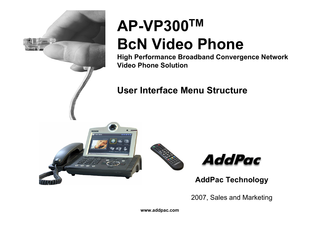

## **AP-VP300TM BcN Video Phone**

**High Performance Broadband Convergence Network Video Phone Solution**

#### **User Interface Menu Structure**







**AddPac Technology**

2007, Sales and Marketing

**www.addpac.com**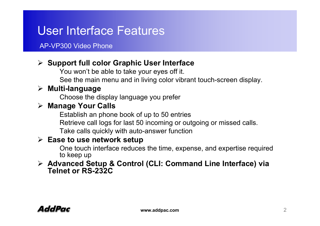### User Interface Features

#### AP-VP300 Video Phone

#### ¾ **Support full color Graphic User Interface**

You won't be able to take your eyes off it.

See the main menu and in living color vibrant touch-screen display.

#### ¾ **Multi-language**

Choose the display language you prefer

#### ¾ **Manage Your Calls**

Establish an phone book of up to 50 entries Retrieve call logs for last 50 incoming or outgoing or missed calls. Take calls quickly with auto-answer function

#### ¾ **Ease to use network setup**

One touch interface reduces the time, expense, and expertise required to keep up

#### ¾ **Advanced Setup & Control (CLI: Command Line Interface) via Telnet or RS-232C**

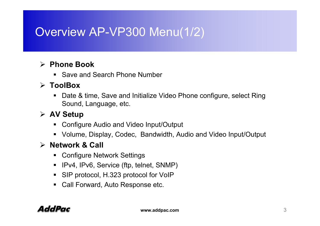### Overview AP-VP300 Menu(1/2)

#### ¾ **Phone Book**

■ Save and Search Phone Number

#### ¾ **ToolBox**

■ Date & time, Save and Initialize Video Phone configure, select Ring Sound, Language, etc.

#### ¾ **AV Setup**

- Configure Audio and Video Input/Output
- Volume, Display, Codec, Bandwidth, Audio and Video Input/Output

#### ¾ **Network & Call**

- Configure Network Settings
- IPv4, IPv6, Service (ftp, telnet, SNMP)
- $\blacksquare$ SIP protocol, H.323 protocol for VoIP
- $\blacksquare$ Call Forward, Auto Response etc.

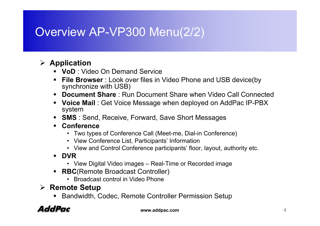### Overview AP-VP300 Menu(2/2)

#### ¾ **Application**

- **VoD** : Video On Demand Service
- **File Browser** : Look over files in Video Phone and USB device(by synchronize with USB)
- $\blacksquare$ **Document Share** : Run Document Share when Video Call Connected
- **Voice Mail** : Get Voice Message when deployed on AddPac IP-PBX system
- **SMS** : Send, Receive, Forward, Save Short Messages
- **Conference** 
	- Two types of Conference Call (Meet-me, Dial-in Conference)
	- View Conference List, Participants' Information
	- View and Control Conference participants' floor, layout, authority etc.
- **DVR**
	- View Digital Video images Real-Time or Recorded image
- $\blacksquare$  **RBC**(Remote Broadcast Controller)
	- Broadcast control in Video Phone
- ¾ **Remote Setup**
	- Bandwidth, Codec, Remote Controller Permission Setup

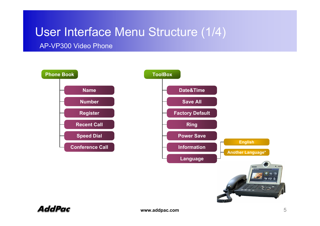### User Interface Menu Structure (1/4)

AP-VP300 Video Phone



**AddPac**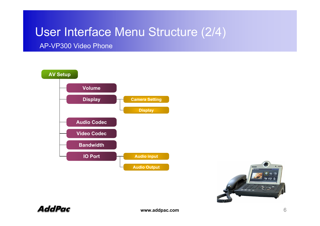### User Interface Menu Structure (2/4)

AP-VP300 Video Phone





**AddPac**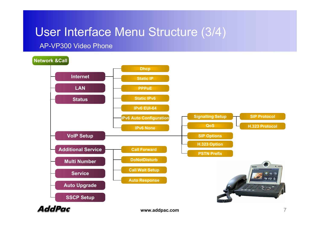### User Interface Menu Structure (3/4)

#### AP-VP300 Video Phone

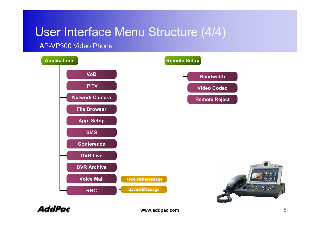### User Interface Menu Structure (4/4)

#### AP-VP300 Video Phone